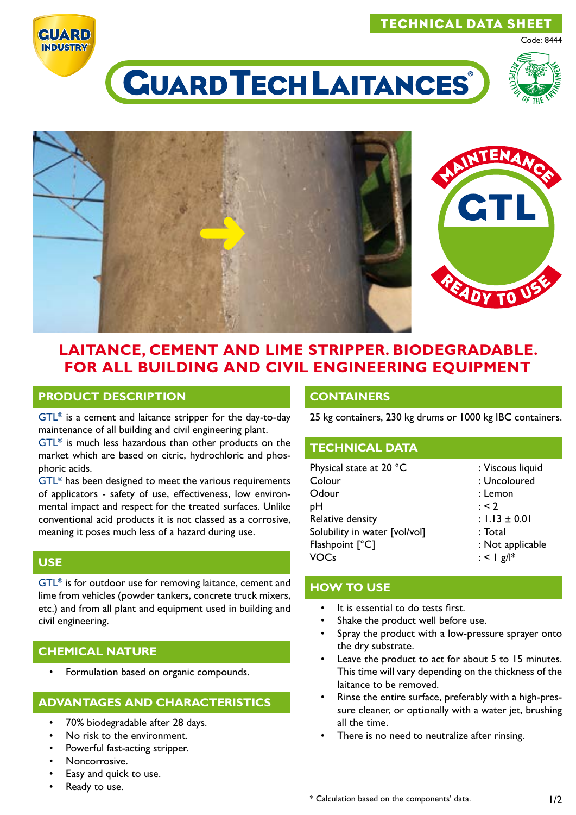### TECHNICAL DATA SHEET

**CUARD INDUSTRY** 



Code: 8444

# **CUARD TECH LAITANCES**



## **LAITANCE, CEMENT AND LIME STRIPPER. BIODEGRADABLE. FOR ALL BUILDING AND CIVIL ENGINEERING EQUIPMENT**

#### **PRODUCT DESCRIPTION**

GTL® is a cement and laitance stripper for the day-to-day maintenance of all building and civil engineering plant.

GTL® is much less hazardous than other products on the market which are based on citric, hydrochloric and phosphoric acids.

GTL® has been designed to meet the various requirements of applicators - safety of use, effectiveness, low environmental impact and respect for the treated surfaces. Unlike conventional acid products it is not classed as a corrosive, meaning it poses much less of a hazard during use.

## **USE**

GTL® is for outdoor use for removing laitance, cement and lime from vehicles (powder tankers, concrete truck mixers, etc.) and from all plant and equipment used in building and civil engineering.

#### **CHEMICAL NATURE**

• Formulation based on organic compounds.

#### **ADVANTAGES AND CHARACTERISTICS**

- 70% biodegradable after 28 days.
- No risk to the environment.
- Powerful fast-acting stripper.
- Noncorrosive.
- Easy and quick to use.
- Ready to use.

#### **CONTAINERS**

25 kg containers, 230 kg drums or 1000 kg IBC containers.

#### **TECHNICAL DATA**

| Physical state at 20 °C       | : Viscous liquid  |
|-------------------------------|-------------------|
| Colour                        | : Uncoloured      |
| Odour                         | : Lemon           |
| рH                            | : 2               |
| Relative density              | : $1.13 \pm 0.01$ |
| Solubility in water [vol/vol] | : Total           |
| Flashpoint [°C]               | : Not applicable  |
| VOCs                          | : < $ g  ^*$      |

#### **HOW TO USE**

- It is essential to do tests first.
- Shake the product well before use.
- Spray the product with a low-pressure sprayer onto the dry substrate.
- Leave the product to act for about 5 to 15 minutes. This time will vary depending on the thickness of the laitance to be removed.
- Rinse the entire surface, preferably with a high-pressure cleaner, or optionally with a water jet, brushing all the time.
- There is no need to neutralize after rinsing.